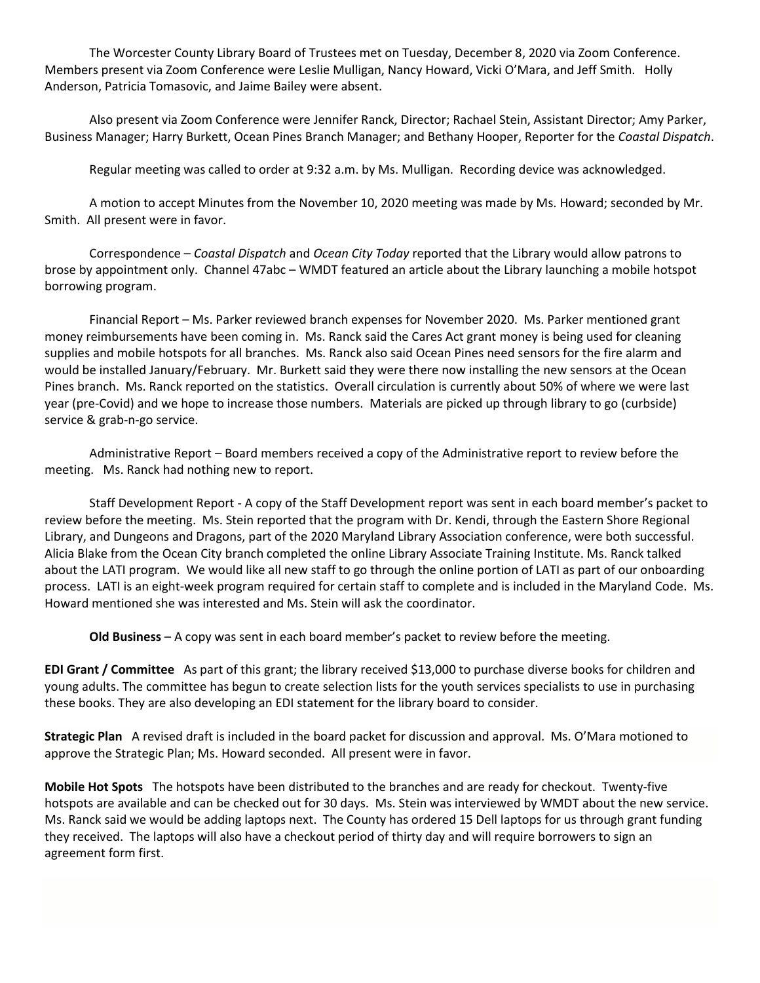The Worcester County Library Board of Trustees met on Tuesday, December 8, 2020 via Zoom Conference. Members present via Zoom Conference were Leslie Mulligan, Nancy Howard, Vicki O'Mara, and Jeff Smith. Holly Anderson, Patricia Tomasovic, and Jaime Bailey were absent.

Also present via Zoom Conference were Jennifer Ranck, Director; Rachael Stein, Assistant Director; Amy Parker, Business Manager; Harry Burkett, Ocean Pines Branch Manager; and Bethany Hooper, Reporter for the *Coastal Dispatch*.

Regular meeting was called to order at 9:32 a.m. by Ms. Mulligan. Recording device was acknowledged.

A motion to accept Minutes from the November 10, 2020 meeting was made by Ms. Howard; seconded by Mr. Smith. All present were in favor.

Correspondence – *Coastal Dispatch* and *Ocean City Today* reported that the Library would allow patrons to brose by appointment only. Channel 47abc – WMDT featured an article about the Library launching a mobile hotspot borrowing program.

Financial Report – Ms. Parker reviewed branch expenses for November 2020. Ms. Parker mentioned grant money reimbursements have been coming in. Ms. Ranck said the Cares Act grant money is being used for cleaning supplies and mobile hotspots for all branches. Ms. Ranck also said Ocean Pines need sensors for the fire alarm and would be installed January/February. Mr. Burkett said they were there now installing the new sensors at the Ocean Pines branch. Ms. Ranck reported on the statistics. Overall circulation is currently about 50% of where we were last year (pre-Covid) and we hope to increase those numbers. Materials are picked up through library to go (curbside) service & grab-n-go service.

Administrative Report – Board members received a copy of the Administrative report to review before the meeting. Ms. Ranck had nothing new to report.

Staff Development Report - A copy of the Staff Development report was sent in each board member's packet to review before the meeting. Ms. Stein reported that the program with Dr. Kendi, through the Eastern Shore Regional Library, and Dungeons and Dragons, part of the 2020 Maryland Library Association conference, were both successful. Alicia Blake from the Ocean City branch completed the online Library Associate Training Institute. Ms. Ranck talked about the LATI program. We would like all new staff to go through the online portion of LATI as part of our onboarding process. LATI is an eight-week program required for certain staff to complete and is included in the Maryland Code. Ms. Howard mentioned she was interested and Ms. Stein will ask the coordinator.

**Old Business** – A copy was sent in each board member's packet to review before the meeting.

**EDI Grant / Committee** As part of this grant; the library received \$13,000 to purchase diverse books for children and young adults. The committee has begun to create selection lists for the youth services specialists to use in purchasing these books. They are also developing an EDI statement for the library board to consider.

**Strategic Plan** A revised draft is included in the board packet for discussion and approval. Ms. O'Mara motioned to approve the Strategic Plan; Ms. Howard seconded. All present were in favor.

**Mobile Hot Spots** The hotspots have been distributed to the branches and are ready for checkout. Twenty-five hotspots are available and can be checked out for 30 days. Ms. Stein was interviewed by WMDT about the new service. Ms. Ranck said we would be adding laptops next. The County has ordered 15 Dell laptops for us through grant funding they received. The laptops will also have a checkout period of thirty day and will require borrowers to sign an agreement form first.